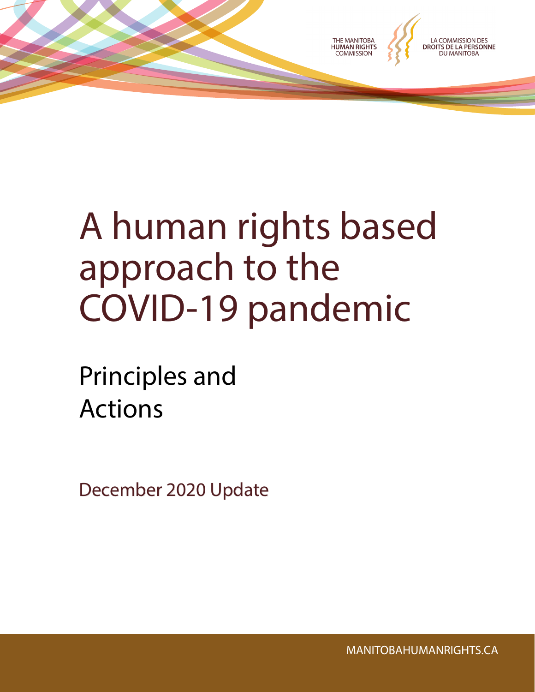

# A human rights based approach to the COVID-19 pandemic

Principles and Actions

December 2020 Update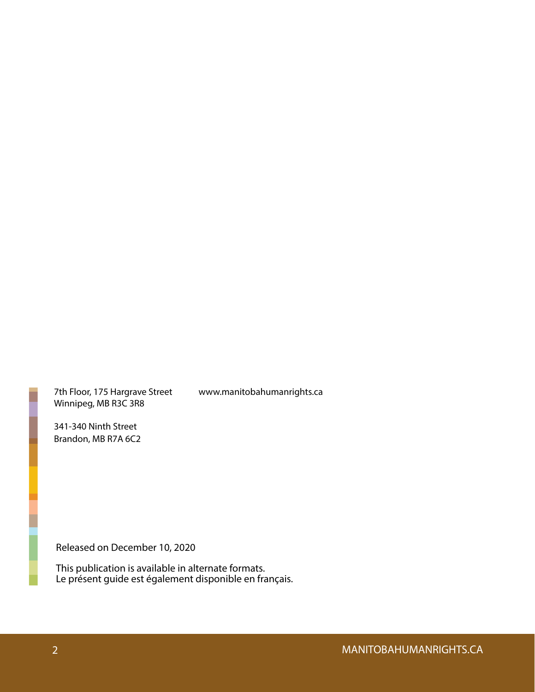7th Floor, 175 Hargrave Street Winnipeg, MB R3C 3R8

www.manitobahumanrights.ca

341-340 Ninth Street Brandon, MB R7A 6C2

Released on December 10, 2020

This publication is available in alternate formats. Le présent guide est également disponible en français.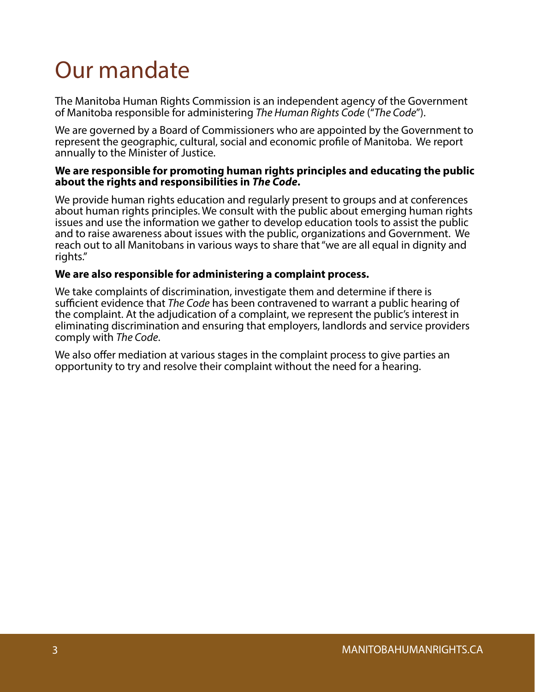## Our mandate

The Manitoba Human Rights Commission is an independent agency of the Government of Manitoba responsible for administering *The Human Rights Code* ("*The Code*").

We are governed by a Board of Commissioners who are appointed by the Government to represent the geographic, cultural, social and economic profile of Manitoba. We report annually to the Minister of Justice.

#### **We are responsible for promoting human rights principles and educating the public about the rights and responsibilities in** *The Code***.**

We provide human rights education and regularly present to groups and at conferences about human rights principles. We consult with the public about emerging human rights issues and use the information we gather to develop education tools to assist the public and to raise awareness about issues with the public, organizations and Government. We reach out to all Manitobans in various ways to share that "we are all equal in dignity and rights."

#### **We are also responsible for administering a complaint process.**

We take complaints of discrimination, investigate them and determine if there is sufficient evidence that *The Code* has been contravened to warrant a public hearing of the complaint. At the adjudication of a complaint, we represent the public's interest in eliminating discrimination and ensuring that employers, landlords and service providers comply with *The Code*.

We also offer mediation at various stages in the complaint process to give parties an opportunity to try and resolve their complaint without the need for a hearing.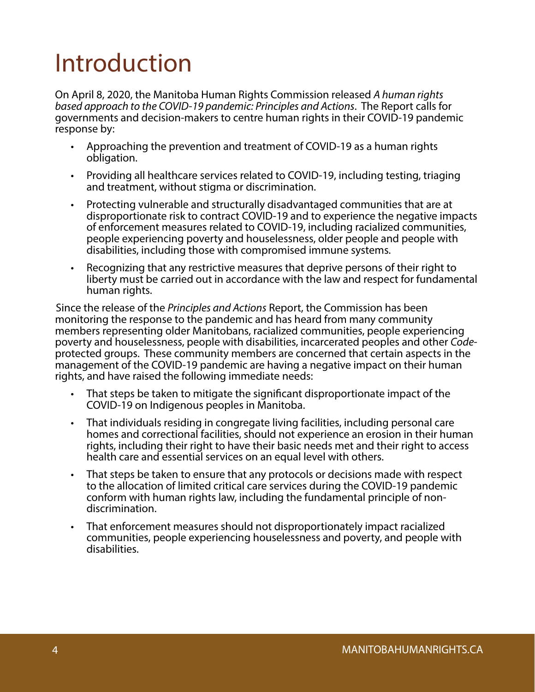# Introduction

On April 8, 2020, the Manitoba Human Rights Commission released *A human rights based approach to the COVID-19 pandemic: Principles and Actions*. The Report calls for governments and decision-makers to centre human rights in their COVID-19 pandemic response by:

- Approaching the prevention and treatment of COVID-19 as a human rights obligation.
- Providing all healthcare services related to COVID-19, including testing, triaging and treatment, without stigma or discrimination.
- Protecting vulnerable and structurally disadvantaged communities that are at disproportionate risk to contract COVID-19 and to experience the negative impacts of enforcement measures related to COVID-19, including racialized communities, people experiencing poverty and houselessness, older people and people with disabilities, including those with compromised immune systems.
- Recognizing that any restrictive measures that deprive persons of their right to liberty must be carried out in accordance with the law and respect for fundamental human rights.

Since the release of the *Principles and Actions* Report, the Commission has been monitoring the response to the pandemic and has heard from many community members representing older Manitobans, racialized communities, people experiencing<br>poverty and houselessness, people with disabilities, incarcerated peoples and other Codeprotected groups. These community members are concerned that certain aspects in the management of the COVID-19 pandemic are having a negative impact on their human rights, and have raised the following immediate needs:

- That steps be taken to mitigate the significant disproportionate impact of the COVID-19 on Indigenous peoples in Manitoba.
- That individuals residing in congregate living facilities, including personal care homes and correctional facilities, should not experience an erosion in their human rights, including their right to have their basic needs met and their right to access health care and essential services on an equal level with others.
- That steps be taken to ensure that any protocols or decisions made with respect to the allocation of limited critical care services during the COVID-19 pandemic conform with human rights law, including the fundamental principle of nondiscrimination.
- That enforcement measures should not disproportionately impact racialized communities, people experiencing houselessness and poverty, and people with disabilities.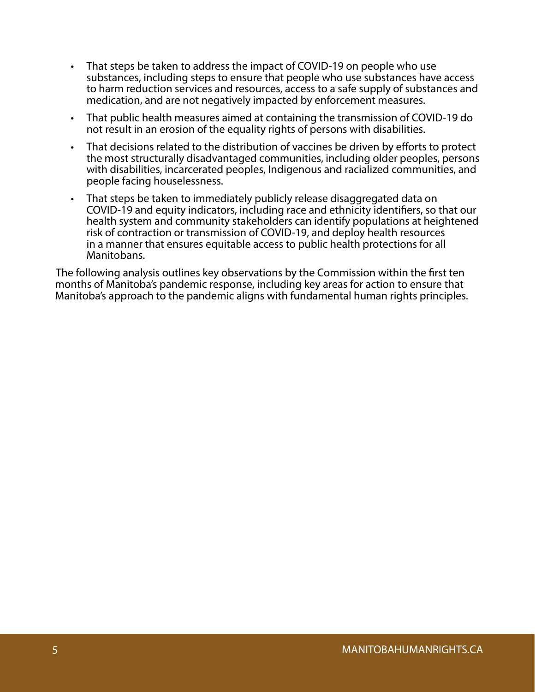- That steps be taken to address the impact of COVID-19 on people who use substances, including steps to ensure that people who use substances have access to harm reduction services and resources, access to a safe supply of substances and medication, and are not negatively impacted by enforcement measures.
- That public health measures aimed at containing the transmission of COVID-19 do not result in an erosion of the equality rights of persons with disabilities.
- That decisions related to the distribution of vaccines be driven by efforts to protect the most structurally disadvantaged communities, including older peoples, persons with disabilities, incarcerated peoples, Indigenous and racialized communities, and people facing houselessness.
- That steps be taken to immediately publicly release disaggregated data on COVID-19 and equity indicators, including race and ethnicity identifiers, so that our health system and community stakeholders can identify populations at heightened risk of contraction or transmission of COVID-19, and deploy health resources in a manner that ensures equitable access to public health protections for all Manitobans.

The following analysis outlines key observations by the Commission within the first ten months of Manitoba's pandemic response, including key areas for action to ensure that Manitoba's approach to the pandemic aligns with fundamental human rights principles.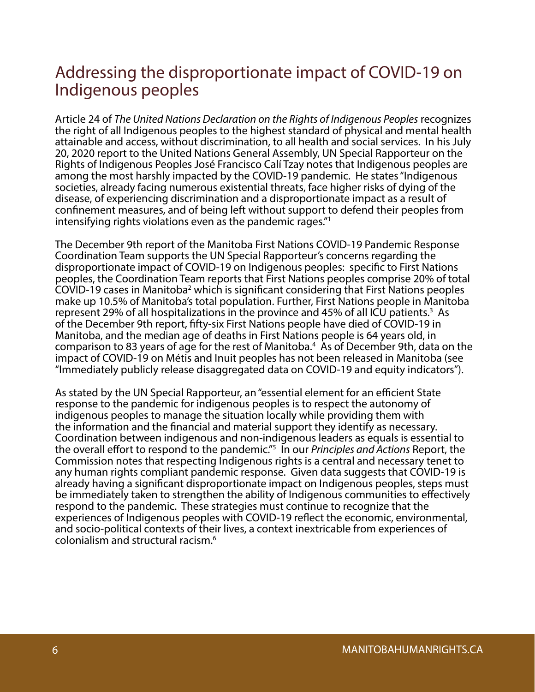#### Addressing the disproportionate impact of COVID-19 on Indigenous peoples

Article 24 of *The United Nations Declaration on the Rights of Indigenous Peoples* recognizes the right of all Indigenous peoples to the highest standard of physical and mental health attainable and access, without discrimination, to all health and social services. In his July 20, 2020 report to the United Nations General Assembly, UN Special Rapporteur on the Rights of Indigenous Peoples José Francisco Calí Tzay notes that Indigenous peoples are among the most harshly impacted by the COVID-19 pandemic. He states "Indigenous societies, already facing numerous existential threats, face higher risks of dying of the disease, of experiencing discrimination and a disproportionate impact as a result of confinement measures, and of being left without support to defend their peoples from intensifying rights violations even as the pandemic rages."1

The December 9th report of the Manitoba First Nations COVID-19 Pandemic Response Coordination Team supports the UN Special Rapporteur's concerns regarding the disproportionate impact of COVID-19 on Indigenous peoples: specific to First Nations peoples, the Coordination Team reports that First Nations peoples comprise 20% of total  $COV$ ID-19 cases in Manitoba<sup>2</sup> which is significant considering that First Nations peoples make up 10.5% of Manitoba's total population. Further, First Nations people in Manitoba represent 29% of all hospitalizations in the province and 45% of all ICU patients.<sup>3</sup> As of the December 9th report, fifty-six First Nations people have died of COVID-19 in Manitoba, and the median age of deaths in First Nations people is 64 years old, in comparison to 83 years of age for the rest of Manitoba.<sup>4</sup> As of December 9th, data on the impact of COVID-19 on Métis and Inuit peoples has not been released in Manitoba (see "Immediately publicly release disaggregated data on COVID-19 and equity indicators").

As stated by the UN Special Rapporteur, an "essential element for an efficient State response to the pandemic for indigenous peoples is to respect the autonomy of indigenous peoples to manage the situation locally while providing them with the information and the financial and material support they identify as necessary. Coordination between indigenous and non-indigenous leaders as equals is essential to the overall effort to respond to the pandemic."5 In our *Principles and Actions* Report, the Commission notes that respecting Indigenous rights is a central and necessary tenet to any human rights compliant pandemic response. Given data suggests that COVID-19 is already having a significant disproportionate impact on Indigenous peoples, steps must be immediately taken to strengthen the ability of Indigenous communities to effectively respond to the pandemic. These strategies must continue to recognize that the experiences of Indigenous peoples with COVID-19 reflect the economic, environmental, and socio-political contexts of their lives, a context inextricable from experiences of colonialism and structural racism.6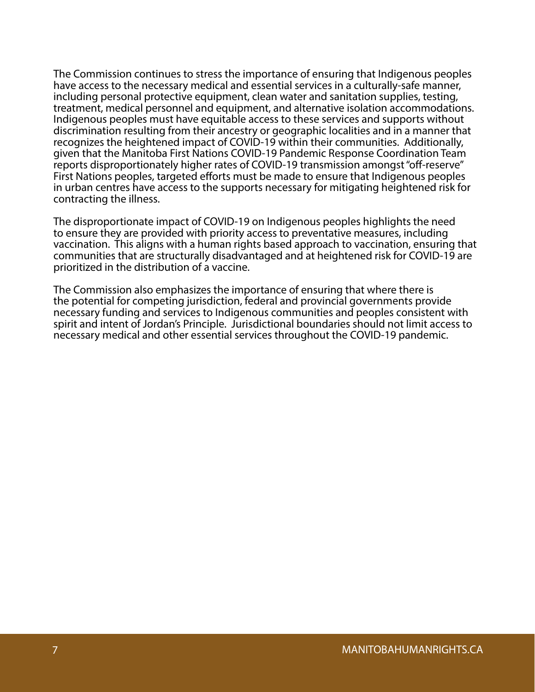The Commission continues to stress the importance of ensuring that Indigenous peoples have access to the necessary medical and essential services in a culturally-safe manner, including personal protective equipment, clean water and sanitation supplies, testing, treatment, medical personnel and equipment, and alternative isolation accommodations. Indigenous peoples must have equitable access to these services and supports without discrimination resulting from their ancestry or geographic localities and in a manner that recognizes the heightened impact of COVID-19 within their communities. Additionally, given that the Manitoba First Nations COVID-19 Pandemic Response Coordination Team reports disproportionately higher rates of COVID-19 transmission amongst "off-reserve" First Nations peoples, targeted efforts must be made to ensure that Indigenous peoples in urban centres have access to the supports necessary for mitigating heightened risk for contracting the illness.

The disproportionate impact of COVID-19 on Indigenous peoples highlights the need to ensure they are provided with priority access to preventative measures, including vaccination. This aligns with a human rights based approach to vaccination, ensuring that communities that are structurally disadvantaged and at heightened risk for COVID-19 are prioritized in the distribution of a vaccine.

The Commission also emphasizes the importance of ensuring that where there is the potential for competing jurisdiction, federal and provincial governments provide necessary funding and services to Indigenous communities and peoples consistent with spirit and intent of Jordan's Principle. Jurisdictional boundaries should not limit access to necessary medical and other essential services throughout the COVID-19 pandemic.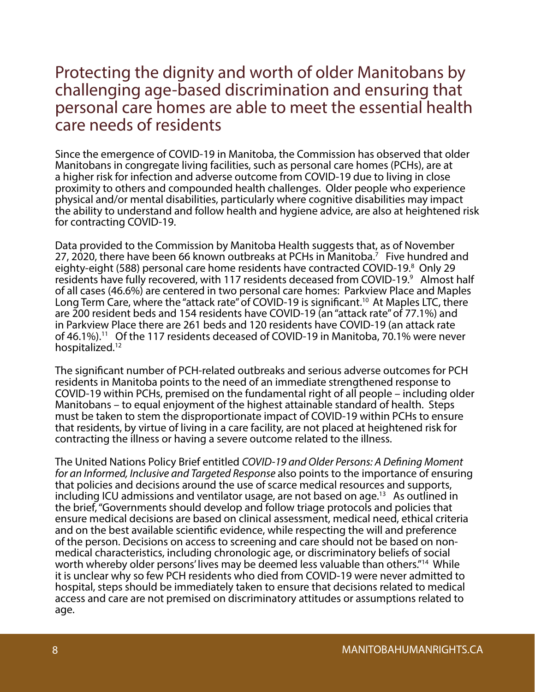#### Protecting the dignity and worth of older Manitobans by challenging age-based discrimination and ensuring that personal care homes are able to meet the essential health care needs of residents

Since the emergence of COVID-19 in Manitoba, the Commission has observed that older Manitobans in congregate living facilities, such as personal care homes (PCHs), are at a higher risk for infection and adverse outcome from COVID-19 due to living in close proximity to others and compounded health challenges. Older people who experience physical and/or mental disabilities, particularly where cognitive disabilities may impact the ability to understand and follow health and hygiene advice, are also at heightened risk for contracting COVID-19.

Data provided to the Commission by Manitoba Health suggests that, as of November 27, 2020, there have been 66 known outbreaks at PCHs in Manitoba.<sup>7</sup> Five hundred and eighty-eight (588) personal care home residents have contracted COVID-19.<sup>8</sup> Only 29 residents have fully recovered, with 117 residents deceased from COVID-19.<sup>9</sup> Almost half of all cases (46.6%) are centered in two personal care homes: Parkview Place and Maples Long Term Care, where the "attack rate" of COVID-19 is significant.<sup>10</sup> At Maples LTC, there are 200 resident beds and 154 residents have COVID-19 (an "attack rate" of 77.1%) and in Parkview Place there are 261 beds and 120 residents have COVID-19 (an attack rate of 46.1%).<sup>11</sup> Of the 117 residents deceased of COVID-19 in Manitoba, 70.1% were never hospitalized.<sup>12</sup>

The significant number of PCH-related outbreaks and serious adverse outcomes for PCH residents in Manitoba points to the need of an immediate strengthened response to COVID-19 within PCHs, premised on the fundamental right of all people – including older Manitobans – to equal enjoyment of the highest attainable standard of health. Steps must be taken to stem the disproportionate impact of COVID-19 within PCHs to ensure that residents, by virtue of living in a care facility, are not placed at heightened risk for contracting the illness or having a severe outcome related to the illness.

The United Nations Policy Brief entitled *COVID-19 and Older Persons: A Defining Moment for an Informed, Inclusive and Targeted Response* also points to the importance of ensuring that policies and decisions around the use of scarce medical resources and supports, including ICU admissions and ventilator usage, are not based on age.<sup>13</sup> As outlined in the brief, "Governments should develop and follow triage protocols and policies that ensure medical decisions are based on clinical assessment, medical need, ethical criteria and on the best available scientific evidence, while respecting the will and preference of the person. Decisions on access to screening and care should not be based on nonmedical characteristics, including chronologic age, or discriminatory beliefs of social worth whereby older persons' lives may be deemed less valuable than others."<sup>14</sup> While it is unclear why so few PCH residents who died from COVID-19 were never admitted to hospital, steps should be immediately taken to ensure that decisions related to medical access and care are not premised on discriminatory attitudes or assumptions related to age.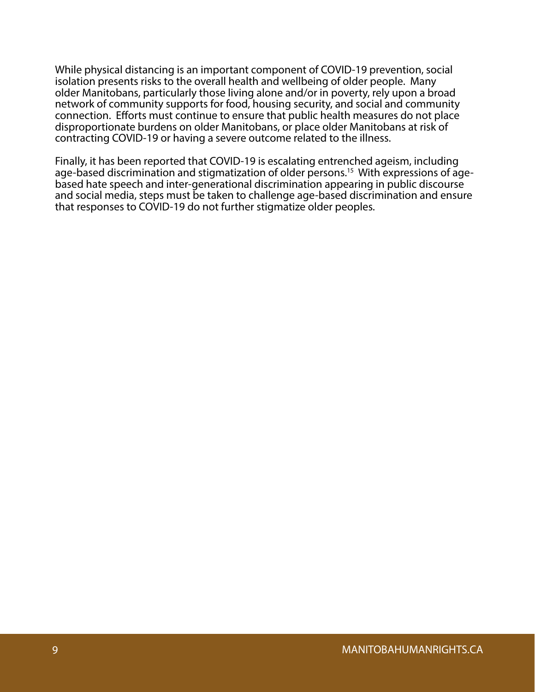While physical distancing is an important component of COVID-19 prevention, social isolation presents risks to the overall health and wellbeing of older people. Many older Manitobans, particularly those living alone and/or in poverty, rely upon a broad network of community supports for food, housing security, and social and community connection. Efforts must continue to ensure that public health measures do not place disproportionate burdens on older Manitobans, or place older Manitobans at risk of contracting COVID-19 or having a severe outcome related to the illness.

Finally, it has been reported that COVID-19 is escalating entrenched ageism, including age-based discrimination and stigmatization of older persons.<sup>15</sup> With expressions of agebased hate speech and inter-generational discrimination appearing in public discourse and social media, steps must be taken to challenge age-based discrimination and ensure that responses to COVID-19 do not further stigmatize older peoples.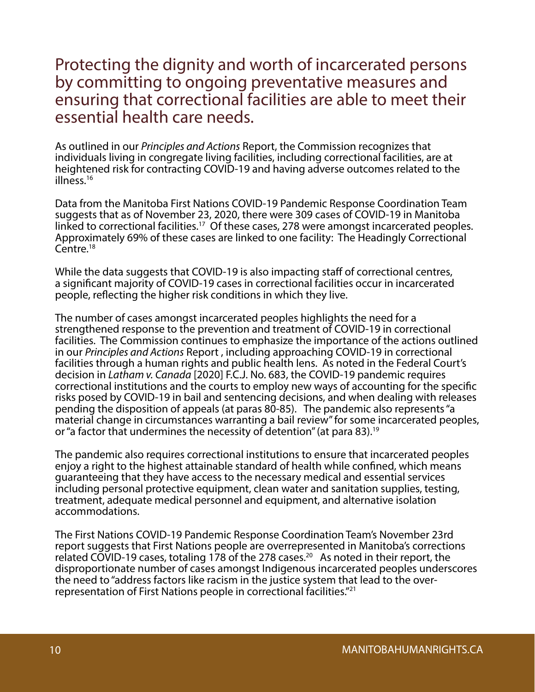#### Protecting the dignity and worth of incarcerated persons by committing to ongoing preventative measures and ensuring that correctional facilities are able to meet their essential health care needs.

As outlined in our *Principles and Actions* Report, the Commission recognizes that individuals living in congregate living facilities, including correctional facilities, are at heightened risk for contracting COVID-19 and having adverse outcomes related to the illness.16

Data from the Manitoba First Nations COVID-19 Pandemic Response Coordination Team suggests that as of November 23, 2020, there were 309 cases of COVID-19 in Manitoba linked to correctional facilities.<sup>17</sup> Of these cases, 278 were amongst incarcerated peoples. Approximately 69% of these cases are linked to one facility: The Headingly Correctional Centre.<sup>18</sup>

While the data suggests that COVID-19 is also impacting staff of correctional centres, a significant majority of COVID-19 cases in correctional facilities occur in incarcerated people, reflecting the higher risk conditions in which they live.

The number of cases amongst incarcerated peoples highlights the need for a strengthened response to the prevention and treatment of COVID-19 in correctional facilities. The Commission continues to emphasize the importance of the actions outlined in our *Principles and Actions* Report , including approaching COVID-19 in correctional facilities through a human rights and public health lens. As noted in the Federal Court's decision in *Latham v. Canada* [2020] F.C.J. No. 683, the COVID-19 pandemic requires correctional institutions and the courts to employ new ways of accounting for the specific risks posed by COVID-19 in bail and sentencing decisions, and when dealing with releases pending the disposition of appeals (at paras 80-85). The pandemic also represents "a material change in circumstances warranting a bail review" for some incarcerated peoples, or "a factor that undermines the necessity of detention" (at para 83).<sup>19</sup>

The pandemic also requires correctional institutions to ensure that incarcerated peoples enjoy a right to the highest attainable standard of health while confined, which means guaranteeing that they have access to the necessary medical and essential services including personal protective equipment, clean water and sanitation supplies, testing, treatment, adequate medical personnel and equipment, and alternative isolation accommodations.

The First Nations COVID-19 Pandemic Response Coordination Team's November 23rd report suggests that First Nations people are overrepresented in Manitoba's corrections related COVID-19 cases, totaling 178 of the 278 cases.20 As noted in their report, the disproportionate number of cases amongst Indigenous incarcerated peoples underscores the need to "address factors like racism in the justice system that lead to the overrepresentation of First Nations people in correctional facilities."21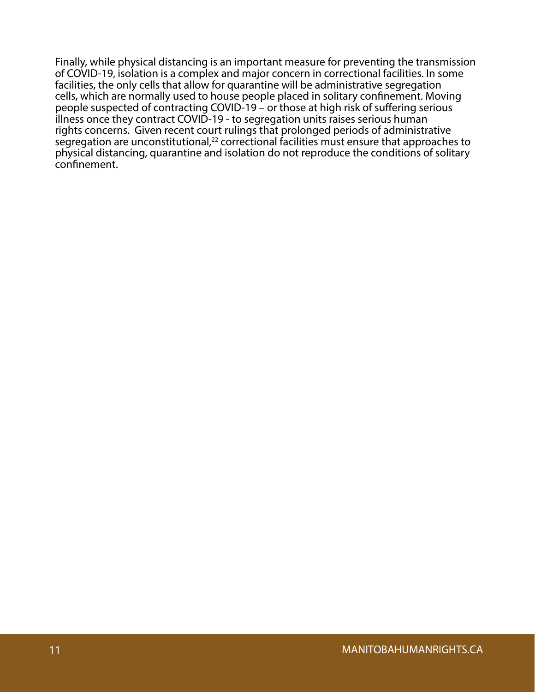Finally, while physical distancing is an important measure for preventing the transmission of COVID-19, isolation is a complex and major concern in correctional facilities. In some facilities, the only cells that allow for quarantine will be administrative segregation cells, which are normally used to house people placed in solitary confinement. Moving people suspected of contracting COVID-19 – or those at high risk of suffering serious illness once they contract COVID-19 - to segregation units raises serious human rights concerns. Given recent court rulings that prolonged periods of administrative segregation are unconstitutional, $^{22}$  correctional facilities must ensure that approaches to physical distancing, quarantine and isolation do not reproduce the conditions of solitary confinement.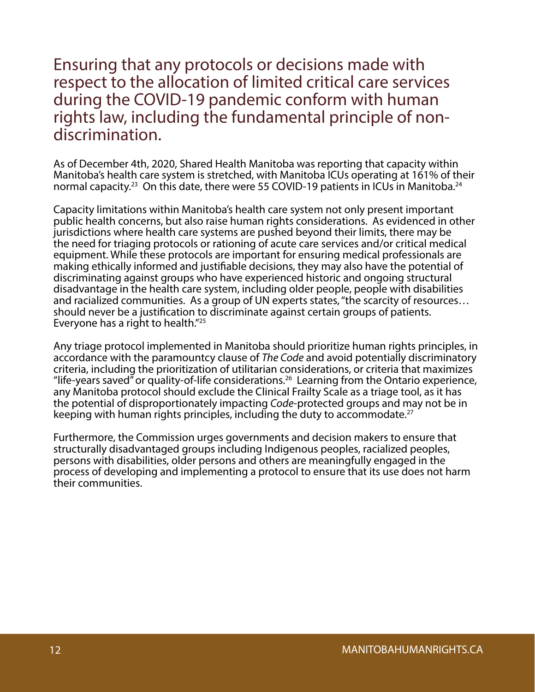Ensuring that any protocols or decisions made with respect to the allocation of limited critical care services during the COVID-19 pandemic conform with human rights law, including the fundamental principle of nondiscrimination.

As of December 4th, 2020, Shared Health Manitoba was reporting that capacity within Manitoba's health care system is stretched, with Manitoba ICUs operating at 161% of their normal capacity.<sup>23</sup> On this date, there were 55 COVID-19 patients in ICUs in Manitoba.<sup>24</sup>

Capacity limitations within Manitoba's health care system not only present important public health concerns, but also raise human rights considerations. As evidenced in other jurisdictions where health care systems are pushed beyond their limits, there may be the need for triaging protocols or rationing of acute care services and/or critical medical equipment. While these protocols are important for ensuring medical professionals are making ethically informed and justifiable decisions, they may also have the potential of discriminating against groups who have experienced historic and ongoing structural disadvantage in the health care system, including older people, people with disabilities and racialized communities. As a group of UN experts states, "the scarcity of resources… should never be a justification to discriminate against certain groups of patients. Everyone has a right to health."25

Any triage protocol implemented in Manitoba should prioritize human rights principles, in accordance with the paramountcy clause of *The Code* and avoid potentially discriminatory criteria, including the prioritization of utilitarian considerations, or criteria that maximizes "life-years saved" or quality-of-life considerations.<sup>26</sup> Learning from the Ontario experience, any Manitoba protocol should exclude the Clinical Frailty Scale as a triage tool, as it has the potential of disproportionately impacting *Code*-protected groups and may not be in keeping with human rights principles, including the duty to accommodate.<sup>27</sup>

Furthermore, the Commission urges governments and decision makers to ensure that structurally disadvantaged groups including Indigenous peoples, racialized peoples, persons with disabilities, older persons and others are meaningfully engaged in the process of developing and implementing a protocol to ensure that its use does not harm their communities.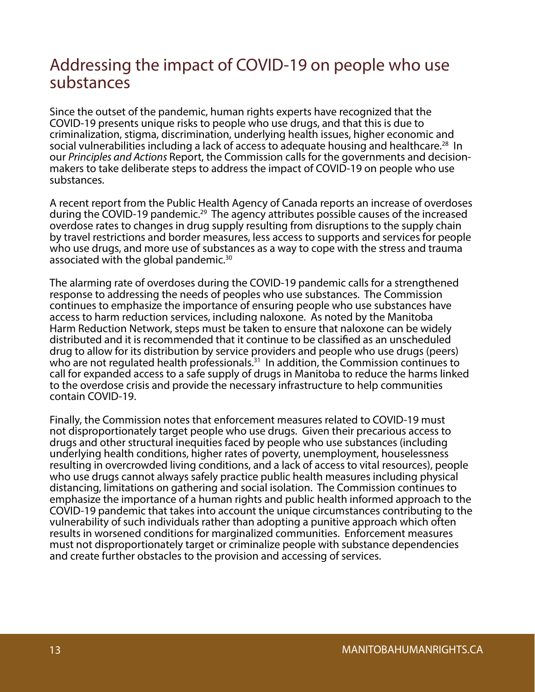#### Addressing the impact of COVID-19 on people who use substances

Since the outset of the pandemic, human rights experts have recognized that the COVID-19 presents unique risks to people who use drugs, and that this is due to criminalization, stigma, discrimination, underlying health issues, higher economic and social vulnerabilities including a lack of access to adequate housing and healthcare.<sup>28</sup> In our *Principles and Actions* Report, the Commission calls for the governments and decisionmakers to take deliberate steps to address the impact of COVID-19 on people who use substances.

A recent report from the Public Health Agency of Canada reports an increase of overdoses during the COVID-19 pandemic.<sup>29</sup> The agency attributes possible causes of the increased overdose rates to changes in drug supply resulting from disruptions to the supply chain by travel restrictions and border measures, less access to supports and services for people who use drugs, and more use of substances as a way to cope with the stress and trauma associated with the global pandemic.30

The alarming rate of overdoses during the COVID-19 pandemic calls for a strengthened response to addressing the needs of peoples who use substances. The Commission continues to emphasize the importance of ensuring people who use substances have access to harm reduction services, including naloxone. As noted by the Manitoba Harm Reduction Network, steps must be taken to ensure that naloxone can be widely distributed and it is recommended that it continue to be classified as an unscheduled drug to allow for its distribution by service providers and people who use drugs (peers) who are not regulated health professionals.<sup>31</sup> In addition, the Commission continues to call for expanded access to a safe supply of drugs in Manitoba to reduce the harms linked to the overdose crisis and provide the necessary infrastructure to help communities contain COVID-19.

Finally, the Commission notes that enforcement measures related to COVID-19 must not disproportionately target people who use drugs. Given their precarious access to drugs and other structural inequities faced by people who use substances (including underlying health conditions, higher rates of poverty, unemployment, houselessness resulting in overcrowded living conditions, and a lack of access to vital resources), people who use drugs cannot always safely practice public health measures including physical distancing, limitations on gathering and social isolation. The Commission continues to emphasize the importance of a human rights and public health informed approach to the COVID-19 pandemic that takes into account the unique circumstances contributing to the vulnerability of such individuals rather than adopting a punitive approach which often results in worsened conditions for marginalized communities. Enforcement measures must not disproportionately target or criminalize people with substance dependencies and create further obstacles to the provision and accessing of services.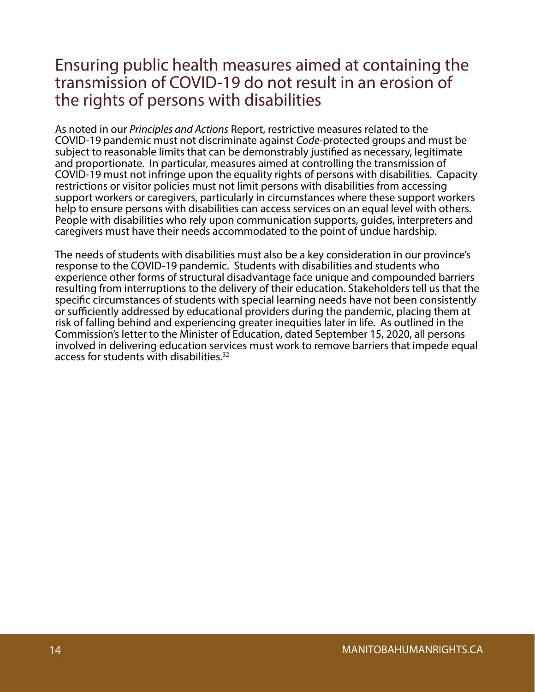#### Ensuring public health measures aimed at containing the transmission of COVID-19 do not result in an erosion of the rights of persons with disabilities

As noted in our *Principles and Actions* Report, restrictive measures related to the COVID-19 pandemic must not discriminate against *Code*-protected groups and must be subject to reasonable limits that can be demonstrably justified as necessary, legitimate and proportionate. In particular, measures aimed at controlling the transmission of COVID-19 must not infringe upon the equality rights of persons with disabilities. Capacity restrictions or visitor policies must not limit persons with disabilities from accessing support workers or caregivers, particularly in circumstances where these support workers help to ensure persons with disabilities can access services on an equal level with others. People with disabilities who rely upon communication supports, guides, interpreters and caregivers must have their needs accommodated to the point of undue hardship.

The needs of students with disabilities must also be a key consideration in our province's response to the COVID-19 pandemic. Students with disabilities and students who experience other forms of structural disadvantage face unique and compounded barriers resulting from interruptions to the delivery of their education. Stakeholders tell us that the specific circumstances of students with special learning needs have not been consistently or sufficiently addressed by educational providers during the pandemic, placing them at risk of falling behind and experiencing greater inequities later in life. As outlined in the Commission's letter to the Minister of Education, dated September 15, 2020, all persons involved in delivering education services must work to remove barriers that impede equal access for students with disabilities.<sup>32</sup>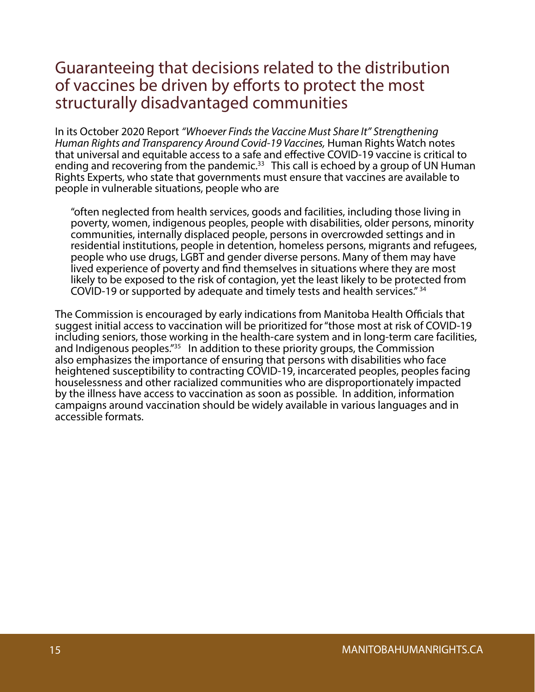#### Guaranteeing that decisions related to the distribution of vaccines be driven by efforts to protect the most structurally disadvantaged communities

In its October 2020 Report *"Whoever Finds the Vaccine Must Share It" Strengthening Human Rights and Transparency Around Covid-19 Vaccines,* Human Rights Watch notes that universal and equitable access to a safe and effective COVID-19 vaccine is critical to ending and recovering from the pandemic.<sup>33</sup> This call is echoed by a group of UN Human Rights Experts, who state that governments must ensure that vaccines are available to people in vulnerable situations, people who are

"often neglected from health services, goods and facilities, including those living in poverty, women, indigenous peoples, people with disabilities, older persons, minority communities, internally displaced people, persons in overcrowded settings and in residential institutions, people in detention, homeless persons, migrants and refugees, people who use drugs, LGBT and gender diverse persons. Many of them may have lived experience of poverty and find themselves in situations where they are most likely to be exposed to the risk of contagion, yet the least likely to be protected from COVID-19 or supported by adequate and timely tests and health services." 34

The Commission is encouraged by early indications from Manitoba Health Officials that suggest initial access to vaccination will be prioritized for "those most at risk of COVID-19 including seniors, those working in the health-care system and in long-term care facilities, and Indigenous peoples.<sup>"35</sup> In addition to these priority groups, the Commission also emphasizes the importance of ensuring that persons with disabilities who face heightened susceptibility to contracting COVID-19, incarcerated peoples, peoples facing houselessness and other racialized communities who are disproportionately impacted by the illness have access to vaccination as soon as possible. In addition, information campaigns around vaccination should be widely available in various languages and in accessible formats.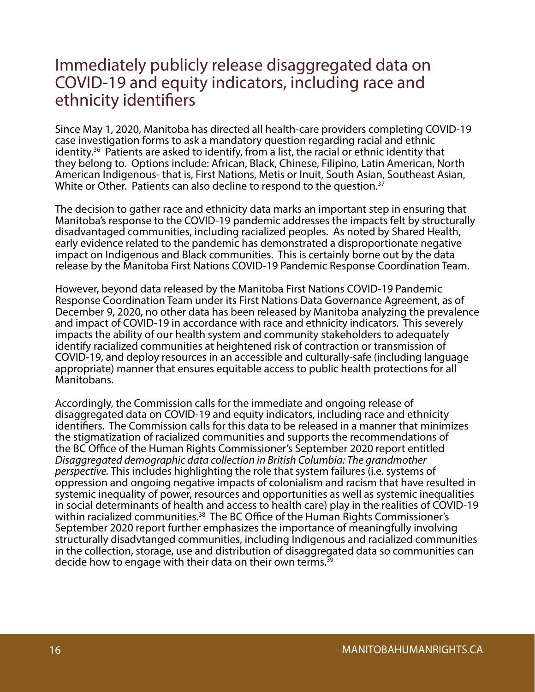#### Immediately publicly release disaggregated data on COVID-19 and equity indicators, including race and ethnicity identifiers

Since May 1, 2020, Manitoba has directed all health-care providers completing COVID-19 case investigation forms to ask a mandatory question regarding racial and ethnic identity.36 Patients are asked to identify, from a list, the racial or ethnic identity that they belong to. Options include: African, Black, Chinese, Filipino, Latin American, North American Indigenous- that is, First Nations, Metis or Inuit, South Asian, Southeast Asian, White or Other. Patients can also decline to respond to the question.<sup>37</sup>

The decision to gather race and ethnicity data marks an important step in ensuring that Manitoba's response to the COVID-19 pandemic addresses the impacts felt by structurally disadvantaged communities, including racialized peoples. As noted by Shared Health, early evidence related to the pandemic has demonstrated a disproportionate negative impact on Indigenous and Black communities. This is certainly borne out by the data release by the Manitoba First Nations COVID-19 Pandemic Response Coordination Team.

However, beyond data released by the Manitoba First Nations COVID-19 Pandemic Response Coordination Team under its First Nations Data Governance Agreement, as of December 9, 2020, no other data has been released by Manitoba analyzing the prevalence and impact of COVID-19 in accordance with race and ethnicity indicators. This severely impacts the ability of our health system and community stakeholders to adequately identify racialized communities at heightened risk of contraction or transmission of COVID-19, and deploy resources in an accessible and culturally-safe (including language appropriate) manner that ensures equitable access to public health protections for all Manitobans.

Accordingly, the Commission calls for the immediate and ongoing release of disaggregated data on COVID-19 and equity indicators, including race and ethnicity identifiers. The Commission calls for this data to be released in a manner that minimizes the stigmatization of racialized communities and supports the recommendations of the BC Office of the Human Rights Commissioner's September 2020 report entitled *Disaggregated demographic data collection in British Columbia: The grandmother perspective.* This includes highlighting the role that system failures (i.e. systems of oppression and ongoing negative impacts of colonialism and racism that have resulted in systemic inequality of power, resources and opportunities as well as systemic inequalities in social determinants of health and access to health care) play in the realities of COVID-19 within racialized communities.<sup>38</sup> The BC Office of the Human Rights Commissioner's September 2020 report further emphasizes the importance of meaningfully involving structurally disadvtanged communities, including Indigenous and racialized communities in the collection, storage, use and distribution of disaggregated data so communities can decide how to engage with their data on their own terms. $39$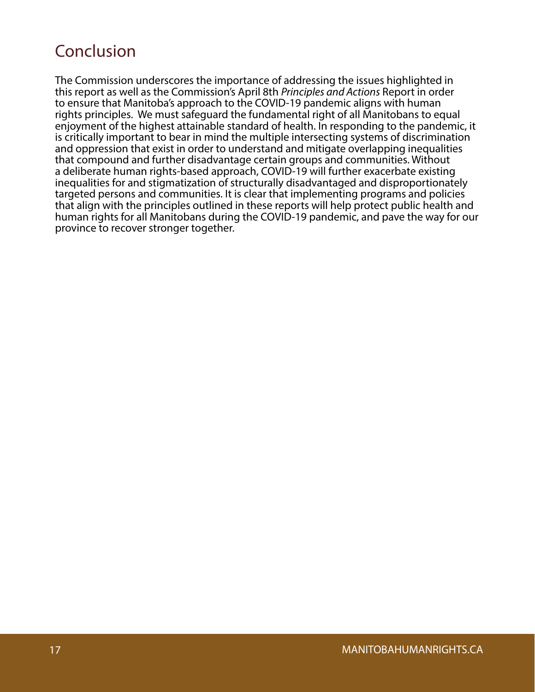### Conclusion

The Commission underscores the importance of addressing the issues highlighted in this report as well as the Commission's April 8th *Principles and Actions* Report in order to ensure that Manitoba's approach to the COVID-19 pandemic aligns with human rights principles. We must safeguard the fundamental right of all Manitobans to equal enjoyment of the highest attainable standard of health. In responding to the pandemic, it is critically important to bear in mind the multiple intersecting systems of discrimination and oppression that exist in order to understand and mitigate overlapping inequalities that compound and further disadvantage certain groups and communities. Without a deliberate human rights-based approach, COVID-19 will further exacerbate existing inequalities for and stigmatization of structurally disadvantaged and disproportionately targeted persons and communities. It is clear that implementing programs and policies that align with the principles outlined in these reports will help protect public health and human rights for all Manitobans during the COVID-19 pandemic, and pave the way for our province to recover stronger together.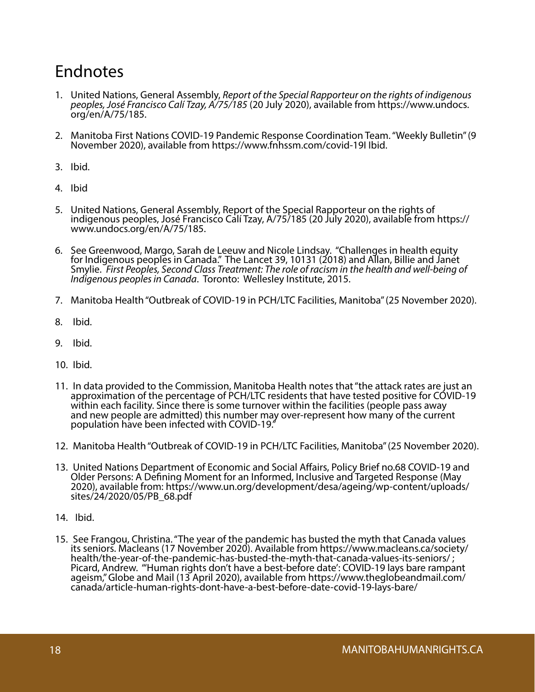### Endnotes

- 1. United Nations, General Assembly, *Report of the Special Rapporteur on the rights of indigenous peoples, José Francisco Calí Tzay, A/75/185* (20 July 2020), available from https://www.undocs. org/en/A/75/185.
- 2. Manitoba First Nations COVID-19 Pandemic Response Coordination Team. "Weekly Bulletin" (9 November 2020), available from https://www.fnhssm.com/covid-19I Ibid.
- 3. Ibid.
- 4. Ibid
- 5. United Nations, General Assembly, Report of the Special Rapporteur on the rights of indigenous peoples, José Francisco Calí Tzay, A/75/185 (20 July 2020), available from https:// www.undocs.org/en/A/75/185.
- 6. See Greenwood, Margo, Sarah de Leeuw and Nicole Lindsay. "Challenges in health equity for Indigenous peoples in Canada." The Lancet 39, 10131 (2018) and Allan, Billie and Janet Smylie. *First Peoples, Second Class Treatment: The role of racism in the health and well-being of Indigenous peoples in Canada*. Toronto: Wellesley Institute, 2015.
- 7. Manitoba Health "Outbreak of COVID-19 in PCH/LTC Facilities, Manitoba" (25 November 2020).
- 8. Ibid.
- 9. Ibid.
- 10. Ibid.
- 11. In data provided to the Commission, Manitoba Health notes that "the attack rates are just an approximation of the percentage of PCH/LTC residents that have tested positive for COVID-19 within each facility. Since there is some turnover within the facilities (people pass away and new people are admitted) this number may over-represent how many of the current population have been infected with COVID-19."
- 12. Manitoba Health "Outbreak of COVID-19 in PCH/LTC Facilities, Manitoba" (25 November 2020).
- 13. United Nations Department of Economic and Social Affairs, Policy Brief no.68 COVID-19 and Older Persons: A Defining Moment for an Informed, Inclusive and Targeted Response (May 2020), available from: https://www.un.org/development/desa/ageing/wp-content/uploads/ sites/24/2020/05/PB\_68.pdf
- 14. Ibid.
- 15. See Frangou, Christina. "The year of the pandemic has busted the myth that Canada values its seniors. Macleans (17 November 2020). Available from https://www.macleans.ca/society/ health/the-year-of-the-pandemic-has-busted-the-myth-that-canada-values-its-seniors/ ; Picard, Andrew. "'Human rights don't have a best-before date': COVID-19 lays bare rampant ageism," Globe and Mail (13 April 2020), available from https://www.theglobeandmail.com/ canada/article-human-rights-dont-have-a-best-before-date-covid-19-lays-bare/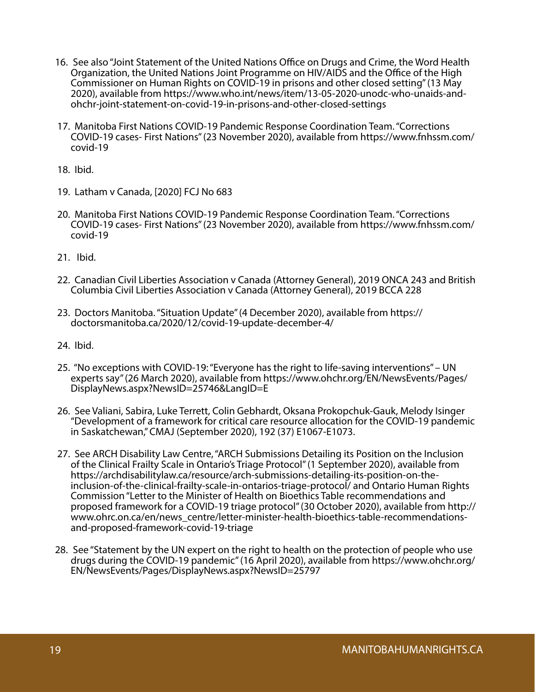- 16. See also "Joint Statement of the United Nations Office on Drugs and Crime, the Word Health Organization, the United Nations Joint Programme on HIV/AIDS and the Office of the High Commissioner on Human Rights on COVID-19 in prisons and other closed setting" (13 May 2020), available from https://www.who.int/news/item/13-05-2020-unodc-who-unaids-andohchr-joint-statement-on-covid-19-in-prisons-and-other-closed-settings
- 17. Manitoba First Nations COVID-19 Pandemic Response Coordination Team. "Corrections COVID-19 cases- First Nations" (23 November 2020), available from https://www.fnhssm.com/ covid-19
- 18. Ibid.
- 19. Latham v Canada, [2020] FCJ No 683
- 20. Manitoba First Nations COVID-19 Pandemic Response Coordination Team. "Corrections COVID-19 cases- First Nations" (23 November 2020), available from https://www.fnhssm.com/ covid-19
- 21. Ibid.
- 22. Canadian Civil Liberties Association v Canada (Attorney General), 2019 ONCA 243 and British Columbia Civil Liberties Association v Canada (Attorney General), 2019 BCCA 228
- 23. Doctors Manitoba. "Situation Update" (4 December 2020), available from https:// doctorsmanitoba.ca/2020/12/covid-19-update-december-4/
- 24. Ibid.
- 25. "No exceptions with COVID-19: "Everyone has the right to life-saving interventions" UN experts say" (26 March 2020), available from https://www.ohchr.org/EN/NewsEvents/Pages/ DisplayNews.aspx?NewsID=25746&LangID=E
- 26. See Valiani, Sabira, Luke Terrett, Colin Gebhardt, Oksana Prokopchuk-Gauk, Melody Isinger "Development of a framework for critical care resource allocation for the COVID-19 pandemic in Saskatchewan," CMAJ (September 2020), 192 (37) E1067-E1073.
- 27. See ARCH Disability Law Centre, "ARCH Submissions Detailing its Position on the Inclusion of the Clinical Frailty Scale in Ontario's Triage Protocol" (1 September 2020), available from https://archdisabilitylaw.ca/resource/arch-submissions-detailing-its-position-on-theinclusion-of-the-clinical-frailty-scale-in-ontarios-triage-protocol/ and Ontario Human Rights Commission "Letter to the Minister of Health on Bioethics Table recommendations and proposed framework for a COVID-19 triage protocol" (30 October 2020), available from http:// www.ohrc.on.ca/en/news\_centre/letter-minister-health-bioethics-table-recommendationsand-proposed-framework-covid-19-triage
- 28. See "Statement by the UN expert on the right to health on the protection of people who use drugs during the COVID-19 pandemic" (16 April 2020), available from https://www.ohchr.org/ EN/NewsEvents/Pages/DisplayNews.aspx?NewsID=25797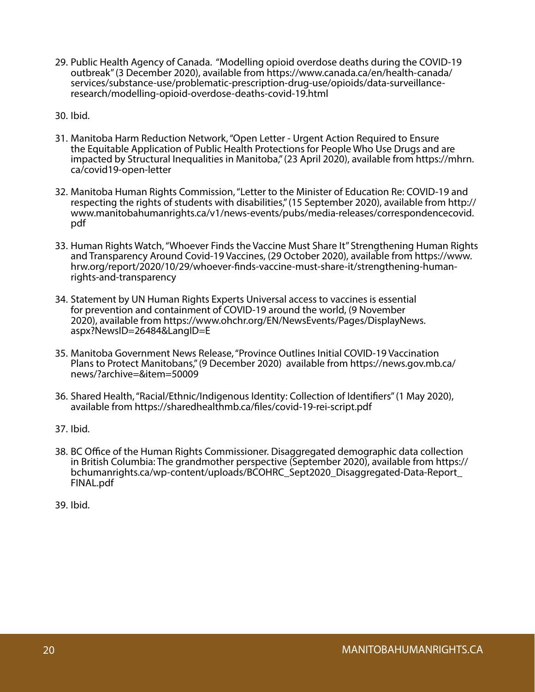- 29. Public Health Agency of Canada. "Modelling opioid overdose deaths during the COVID-19 outbreak" (3 December 2020), available from https://www.canada.ca/en/health-canada/ services/substance-use/problematic-prescription-drug-use/opioids/data-surveillanceresearch/modelling-opioid-overdose-deaths-covid-19.html
- 30. Ibid.
- 31. Manitoba Harm Reduction Network, "Open Letter Urgent Action Required to Ensure the Equitable Application of Public Health Protections for People Who Use Drugs and are impacted by Structural Inequalities in Manitoba," (23 April 2020), available from https://mhrn. ca/covid19-open-letter
- 32. Manitoba Human Rights Commission, "Letter to the Minister of Education Re: COVID-19 and respecting the rights of students with disabilities," (15 September 2020), available from http:// www.manitobahumanrights.ca/v1/news-events/pubs/media-releases/correspondencecovid. pdf
- 33. Human Rights Watch, "Whoever Finds the Vaccine Must Share It" Strengthening Human Rights and Transparency Around Covid-19 Vaccines, (29 October 2020), available from https://www. hrw.org/report/2020/10/29/whoever-finds-vaccine-must-share-it/strengthening-humanrights-and-transparency
- 34. Statement by UN Human Rights Experts Universal access to vaccines is essential for prevention and containment of COVID-19 around the world, (9 November 2020), available from https://www.ohchr.org/EN/NewsEvents/Pages/DisplayNews. aspx?NewsID=26484&LangID=E
- 35. Manitoba Government News Release, "Province Outlines Initial COVID-19 Vaccination Plans to Protect Manitobans," (9 December 2020) available from https://news.gov.mb.ca/ news/?archive=&item=50009
- 36. Shared Health, "Racial/Ethnic/Indigenous Identity: Collection of Identifiers" (1 May 2020), available from https://sharedhealthmb.ca/files/covid-19-rei-script.pdf
- 37. Ibid.
- 38. BC Office of the Human Rights Commissioner. Disaggregated demographic data collection in British Columbia: The grandmother perspective (September 2020), available from https:// bchumanrights.ca/wp-content/uploads/BCOHRC\_Sept2020\_Disaggregated-Data-Report\_ FINAL.pdf
- 39. Ibid.